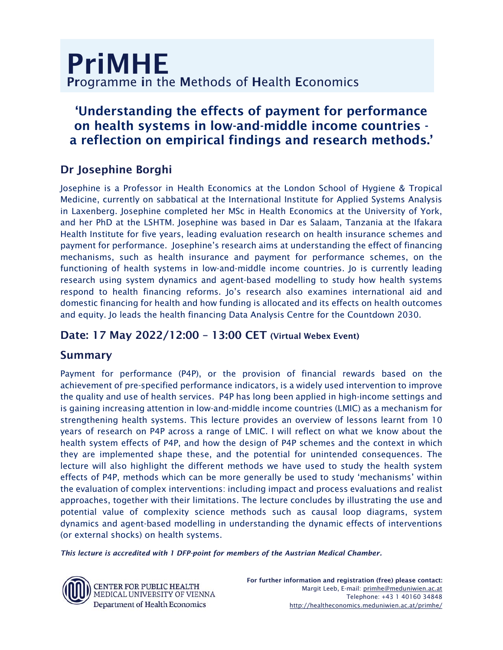# 'Understanding the effects of payment for performance on health systems in low-and-middle income countries a reflection on empirical findings and research methods.'

## Dr Josephine Borghi

Josephine is a Professor in Health Economics at the London School of Hygiene & Tropical Medicine, currently on sabbatical at the International Institute for Applied Systems Analysis in Laxenberg. Josephine completed her MSc in Health Economics at the University of York, and her PhD at the LSHTM. Josephine was based in Dar es Salaam, Tanzania at the Ifakara Health Institute for five years, leading evaluation research on health insurance schemes and payment for performance. Josephine's research aims at understanding the effect of financing mechanisms, such as health insurance and payment for performance schemes, on the functioning of health systems in low-and-middle income countries. Jo is currently leading research using system dynamics and agent-based modelling to study how health systems respond to health financing reforms. Jo's research also examines international aid and domestic financing for health and how funding is allocated and its effects on health outcomes and equity. Jo leads the health financing Data Analysis Centre for the Countdown 2030.

## Date: 17 May 2022/12:00 – 13:00 CET (Virtual Webex Event)

## Summary

Payment for performance (P4P), or the provision of financial rewards based on the achievement of pre-specified performance indicators, is a widely used intervention to improve the quality and use of health services. P4P has long been applied in high-income settings and is gaining increasing attention in low-and-middle income countries (LMIC) as a mechanism for strengthening health systems. This lecture provides an overview of lessons learnt from 10 years of research on P4P across a range of LMIC. I will reflect on what we know about the health system effects of P4P, and how the design of P4P schemes and the context in which they are implemented shape these, and the potential for unintended consequences. The lecture will also highlight the different methods we have used to study the health system effects of P4P, methods which can be more generally be used to study 'mechanisms' within the evaluation of complex interventions: including impact and process evaluations and realist approaches, together with their limitations. The lecture concludes by illustrating the use and potential value of complexity science methods such as causal loop diagrams, system dynamics and agent-based modelling in understanding the dynamic effects of interventions (or external shocks) on health systems.

*This lecture is accredited with 1 DFP-point for members of the Austrian Medical Chamber.* 



**CENTER FOR PUBLIC HEALTH** MEDICAL UNIVERSITY OF VIENNA Department of Health Economics